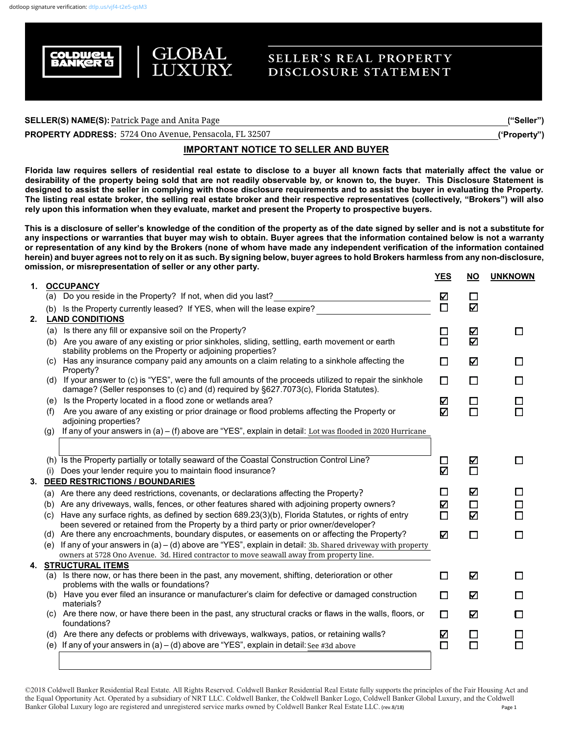

# **SELLER'S REAL PROPERTY** DISCLOSURE STATEMENT

### $\sf{SELECT}(S) \sf{NAME}(S) \sf{:}$  Patrick Page and Anita Page  $\sf{I}$

**PROPERTY ADDRESS: \_\_\_\_\_\_\_\_\_\_\_\_\_\_\_\_\_\_\_\_\_\_\_\_\_\_\_\_\_\_\_\_\_\_\_\_\_\_\_\_\_\_\_\_\_\_\_\_\_\_\_\_\_\_\_\_\_\_\_\_\_\_\_\_\_\_\_\_\_\_\_\_\_\_\_\_\_\_\_\_\_('Property")** 5724 Ono Avenue, Pensacola, FL 32507

## **IMPORTANT NOTICE TO SELLER AND BUYER**

**Florida law requires sellers of residential real estate to disclose to a buyer all known facts that materially affect the value or desirability of the property being sold that are not readily observable by, or known to, the buyer. This Disclosure Statement is designed to assist the seller in complying with those disclosure requirements and to assist the buyer in evaluating the Property. The listing real estate broker, the selling real estate broker and their respective representatives (collectively, "Brokers") will also rely upon this information when they evaluate, market and present the Property to prospective buyers.**

**This is a disclosure of seller's knowledge of the condition of the property as of the date signed by seller and is not a substitute for any inspections or warranties that buyer may wish to obtain. Buyer agrees that the information contained below is not a warranty or representation of any kind by the Brokers (none of whom have made any independent verification of the information contained herein) and buyer agrees not to rely on it as such. By signing below, buyer agrees to hold Brokers harmless from any non-disclosure, omission, or misrepresentation of seller or any other party.**

|    |     |                                                                                                                                                                                                             | <u>YES</u>  | <u>NO</u>   | <b>UNKNOWN</b> |
|----|-----|-------------------------------------------------------------------------------------------------------------------------------------------------------------------------------------------------------------|-------------|-------------|----------------|
| 1. |     | <b>OCCUPANCY</b><br>(a) Do you reside in the Property? If not, when did you last?                                                                                                                           |             |             |                |
|    |     |                                                                                                                                                                                                             | V<br>$\Box$ | $\Box$<br>Κ |                |
| 2. |     | (b) Is the Property currently leased? If YES, when will the lease expire?                                                                                                                                   |             |             |                |
|    |     | <b>LAND CONDITIONS</b><br>(a) Is there any fill or expansive soil on the Property?                                                                                                                          |             |             |                |
|    |     | (b) Are you aware of any existing or prior sinkholes, sliding, settling, earth movement or earth                                                                                                            | □<br>$\Box$ | Κ<br>Κ      | П              |
|    |     | stability problems on the Property or adjoining properties?                                                                                                                                                 |             |             |                |
|    | (C) | Has any insurance company paid any amounts on a claim relating to a sinkhole affecting the                                                                                                                  | □           | Κ           | H              |
|    |     | Property?<br>(d) If your answer to (c) is "YES", were the full amounts of the proceeds utilized to repair the sinkhole                                                                                      | $\Box$      | □           |                |
|    |     | damage? (Seller responses to (c) and (d) required by §627.7073(c), Florida Statutes).                                                                                                                       |             |             |                |
|    | (e) | Is the Property located in a flood zone or wetlands area?                                                                                                                                                   | K           | $\Box$      |                |
|    | (f) | Are you aware of any existing or prior drainage or flood problems affecting the Property or                                                                                                                 | K           | $\Box$      |                |
|    |     | adjoining properties?                                                                                                                                                                                       |             |             |                |
|    | (g) | If any of your answers in $(a) - (f)$ above are "YES", explain in detail: Lot was flooded in 2020 Hurricane                                                                                                 |             |             |                |
|    |     |                                                                                                                                                                                                             |             |             |                |
|    |     | (h) Is the Property partially or totally seaward of the Coastal Construction Control Line?                                                                                                                  | $\Box$      | Ν           |                |
|    |     | Does your lender require you to maintain flood insurance?                                                                                                                                                   | Ν           | $\Box$      |                |
|    |     | 3. DEED RESTRICTIONS / BOUNDARIES                                                                                                                                                                           |             |             |                |
|    |     | (a) Are there any deed restrictions, covenants, or declarations affecting the Property?                                                                                                                     | □           | Κ           |                |
|    |     | (b) Are any driveways, walls, fences, or other features shared with adjoining property owners?                                                                                                              | K           | □           |                |
|    |     | (c) Have any surface rights, as defined by section 689.23(3)(b), Florida Statutes, or rights of entry                                                                                                       | $\Box$      | Κ           |                |
|    |     | been severed or retained from the Property by a third party or prior owner/developer?                                                                                                                       |             |             |                |
|    |     | (d) Are there any encroachments, boundary disputes, or easements on or affecting the Property?                                                                                                              | K           | □           | П              |
|    |     | (e) If any of your answers in $(a) - (d)$ above are "YES", explain in detail: 3b. Shared driveway with property<br>owners at 5728 Ono Avenue. 3d. Hired contractor to move seawall away from property line. |             |             |                |
|    |     | <b>4. STRUCTURAL ITEMS</b>                                                                                                                                                                                  |             |             |                |
|    |     | (a) Is there now, or has there been in the past, any movement, shifting, deterioration or other                                                                                                             | $\Box$      | Ν           |                |
|    |     | problems with the walls or foundations?                                                                                                                                                                     |             |             |                |
|    |     | (b) Have you ever filed an insurance or manufacturer's claim for defective or damaged construction<br>materials?                                                                                            | $\Box$      | K           | п              |
|    | (C) | Are there now, or have there been in the past, any structural cracks or flaws in the walls, floors, or<br>foundations?                                                                                      | $\Box$      | K           | П              |
|    |     | (d) Are there any defects or problems with driveways, walkways, patios, or retaining walls?                                                                                                                 | V           | $\Box$      |                |
|    |     | (e) If any of your answers in (a) $-$ (d) above are "YES", explain in detail: See #3d above                                                                                                                 | $\Box$      | $\Box$      |                |
|    |     |                                                                                                                                                                                                             |             |             |                |
|    |     |                                                                                                                                                                                                             |             |             |                |

©2018 Coldwell Banker Residential Real Estate. All Rights Reserved. Coldwell Banker Residential Real Estate fully supports the principles of the Fair Housing Act and the Equal Opportunity Act. Operated by a subsidiary of NRT LLC. Coldwell Banker, the Coldwell Banker Logo, Coldwell Banker Global Luxury, and the Coldwell Banker Global Luxury logo are registered and unregistered service marks owned by Coldwell Banker Real Estate LLC. (rev.8/18) Page 1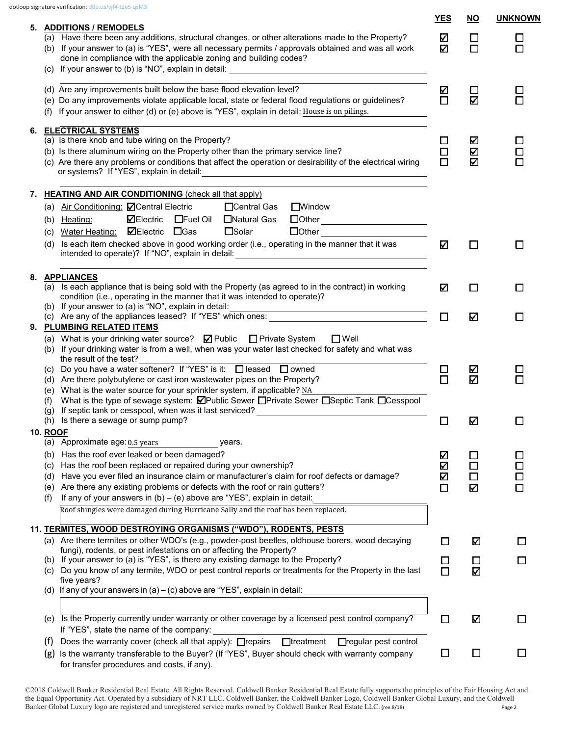|    |                                                                                                                                                                                                                                                                                                                                                                                                                                                                                                                                                                                                                                                      | YES              | <b>NO</b>                  | <b>UNKNOWN</b>   |
|----|------------------------------------------------------------------------------------------------------------------------------------------------------------------------------------------------------------------------------------------------------------------------------------------------------------------------------------------------------------------------------------------------------------------------------------------------------------------------------------------------------------------------------------------------------------------------------------------------------------------------------------------------------|------------------|----------------------------|------------------|
|    | 5. ADDITIONS / REMODELS<br>(a) Have there been any additions, structural changes, or other alterations made to the Property?<br>(b) If your answer to (a) is "YES", were all necessary permits / approvals obtained and was all work<br>done in compliance with the applicable zoning and building codes?                                                                                                                                                                                                                                                                                                                                            | K<br>☑           | □<br>О                     | □<br>□           |
|    | (d) Are any improvements built below the base flood elevation level?<br>(e) Do any improvements violate applicable local, state or federal flood regulations or guidelines?<br>If your answer to either (d) or (e) above is "YES", explain in detail: House is on pilings.                                                                                                                                                                                                                                                                                                                                                                           | V<br>$\Box$      | $\Box$<br>K                | П                |
| 6. | <b>ELECTRICAL SYSTEMS</b><br>(a) Is there knob and tube wiring on the Property?<br>(b) Is there aluminum wiring on the Property other than the primary service line?<br>(c) Are there any problems or conditions that affect the operation or desirability of the electrical wiring<br>or systems? If "YES", explain in detail:                                                                                                                                                                                                                                                                                                                      | ⊔<br>$\Box$<br>П | Ø<br>V<br>K                | $\Box$<br>$\Box$ |
| 7. | <b>HEATING AND AIR CONDITIONING (check all that apply)</b><br>(a) Air Conditioning: <b>○</b> Central Electric<br>□Central Gas<br>$\Box$ Window<br>⊠Electric<br>□Fuel Oil □Natural Gas<br>$\begin{tabular}{ c c } \hline \rule{0pt}{2.2ex} \rule{0pt}{2.2ex} \rule{0pt}{2.2ex} \rule{0pt}{2.2ex} \rule{0pt}{2.2ex} \rule{0pt}{2.2ex} \rule{0pt}{2.2ex} \rule{0pt}{2.2ex} \rule{0pt}{2.2ex} \rule{0pt}{2.2ex} \rule{0pt}{2.2ex} \rule{0pt}{2.2ex} \rule{0pt}{2.2ex} \rule{0pt}{2.2ex} \rule{0pt}{2.2ex} \rule{0pt}{2.2ex} \rule{0pt}{2.2ex} \rule{0pt}{2.2ex} \rule{0pt}{2$<br>(b) Heating:<br>$\square$ Solar<br>Water Heating: <b>ØElectric</b> OGas |                  |                            |                  |
|    | (C)<br>Is each item checked above in good working order (i.e., operating in the manner that it was<br>(d)<br>intended to operate)? If "NO", explain in detail:                                                                                                                                                                                                                                                                                                                                                                                                                                                                                       | Κ                | □                          | □                |
|    | 8. APPLIANCES<br>(a) Is each appliance that is being sold with the Property (as agreed to in the contract) in working<br>condition (i.e., operating in the manner that it was intended to operate)?                                                                                                                                                                                                                                                                                                                                                                                                                                                  | K                | □                          | □                |
|    | (b) If your answer to (a) is "NO", explain in detail:<br><u> 1989 - Johann Barn, amerikansk politiker (d. 1989)</u><br>(c) Are any of the appliances leased? If "YES" which ones:<br>9. PLUMBING RELATED ITEMS<br>(a) What is your drinking water source? $\Box$ Public $\Box$ Private System<br>$\square$ Well                                                                                                                                                                                                                                                                                                                                      | $\Box$           | Ν                          | □                |
|    | (b) If your drinking water is from a well, when was your water last checked for safety and what was<br>the result of the test?<br>(c) Do you have a water softener? If "YES" is it: $\Box$ leased $\Box$ owned<br>(d) Are there polybutylene or cast iron wastewater pipes on the Property?<br>(e) What is the water source for your sprinkler system, if applicable? NA<br>What is the type of sewage system: <b>Ø</b> Public Sewer <b>O</b> Private Sewer <b>O</b> Septic Tank <b>O</b> Cesspool<br>(f)                                                                                                                                            | ⊔<br>$\Box$      | K<br>Ν                     |                  |
|    | If septic tank or cesspool, when was it last serviced?<br>(g)<br>(h) Is there a sewage or sump pump?                                                                                                                                                                                                                                                                                                                                                                                                                                                                                                                                                 | $\Box$           | Ν                          | П                |
|    | 10. ROOF<br>(a) Approximate age: 0.5 years<br>years.<br>Has the roof ever leaked or been damaged?<br>(b)<br>Has the roof been replaced or repaired during your ownership?<br>(C)<br>Have you ever filed an insurance claim or manufacturer's claim for roof defects or damage?<br>(d)<br>Are there any existing problems or defects with the roof or rain gutters?<br>(e)<br>If any of your answers in $(b) - (e)$ above are "YES", explain in detail:<br>(f)<br>Roof shingles were damaged during Hurricane Sally and the roof has been replaced.                                                                                                   | Ø<br>V<br>V<br>П | $\Box$<br>□<br>$\Box$<br>Ν | $\Box$<br>П      |
|    | 11. TERMITES, WOOD DESTROYING ORGANISMS ("WDO"), RODENTS, PESTS<br>(a) Are there termites or other WDO's (e.g., powder-post beetles, oldhouse borers, wood decaying<br>fungi), rodents, or pest infestations on or affecting the Property?<br>(b) If your answer to (a) is "YES", is there any existing damage to the Property?<br>Do you know of any termite, WDO or pest control reports or treatments for the Property in the last<br>(C)<br>five years?<br>(d) If any of your answers in $(a) - (c)$ above are "YES", explain in detail:                                                                                                         | ш<br>$\Box$<br>□ | Ν<br>ш<br>Ν                | ш<br>$\sim$      |
|    | (e) Is the Property currently under warranty or other coverage by a licensed pest control company?<br>If "YES", state the name of the company:                                                                                                                                                                                                                                                                                                                                                                                                                                                                                                       | □                | Ν                          | ш                |
|    | $\Box$ treatment<br>Does the warranty cover (check all that apply): $\Box$ repairs<br>□regular pest control<br>(t)<br>Is the warranty transferable to the Buyer? (If "YES", Buyer should check with warranty company<br>(g)<br>for transfer procedures and costs, if any).                                                                                                                                                                                                                                                                                                                                                                           | $\Box$           | $\Box$                     | $\Box$           |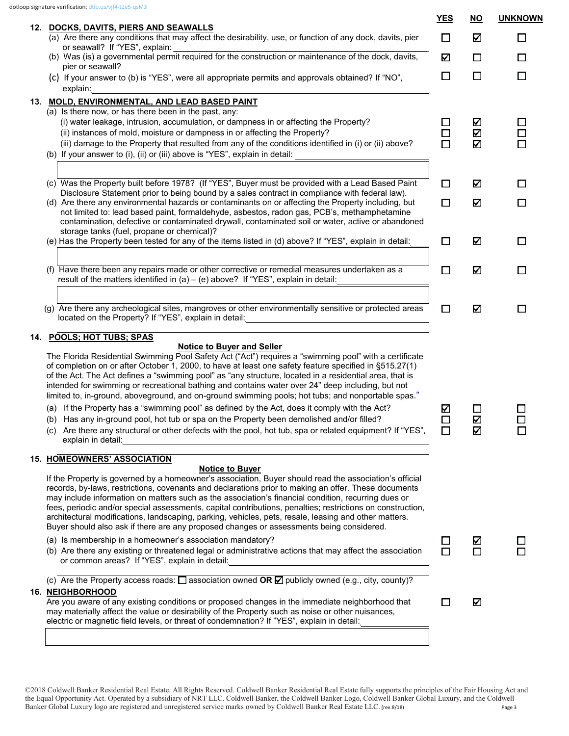|     |                                                                                                                                                                                                                                                                                                                                                                                                                                                                                                                                                                                                                                                                    | <b>YES</b>       | <u>NO</u>   | <b>UNKNOWN</b>   |
|-----|--------------------------------------------------------------------------------------------------------------------------------------------------------------------------------------------------------------------------------------------------------------------------------------------------------------------------------------------------------------------------------------------------------------------------------------------------------------------------------------------------------------------------------------------------------------------------------------------------------------------------------------------------------------------|------------------|-------------|------------------|
|     | 12. DOCKS, DAVITS, PIERS AND SEAWALLS<br>(a) Are there any conditions that may affect the desirability, use, or function of any dock, davits, pier                                                                                                                                                                                                                                                                                                                                                                                                                                                                                                                 | □                | V           | $\Box$           |
|     | or seawall? If "YES", explain:<br>(b) Was (is) a governmental permit required for the construction or maintenance of the dock, davits,<br>pier or seawall?                                                                                                                                                                                                                                                                                                                                                                                                                                                                                                         | K                | $\Box$      | □                |
|     | (c) If your answer to (b) is "YES", were all appropriate permits and approvals obtained? If "NO",<br>explain:                                                                                                                                                                                                                                                                                                                                                                                                                                                                                                                                                      | $\Box$           | $\Box$      | $\Box$           |
|     | 13. MOLD, ENVIRONMENTAL, AND LEAD BASED PAINT<br>(a) Is there now, or has there been in the past, any:                                                                                                                                                                                                                                                                                                                                                                                                                                                                                                                                                             |                  |             |                  |
|     | (i) water leakage, intrusion, accumulation, or dampness in or affecting the Property?<br>(ii) instances of mold, moisture or dampness in or affecting the Property?<br>(iii) damage to the Property that resulted from any of the conditions identified in (i) or (ii) above?<br>(b) If your answer to (i), (ii) or (iii) above is "YES", explain in detail:                                                                                                                                                                                                                                                                                                       | □<br>□<br>$\Box$ | ☑<br>Ν<br>Ν | □<br>□<br>$\Box$ |
|     |                                                                                                                                                                                                                                                                                                                                                                                                                                                                                                                                                                                                                                                                    |                  |             |                  |
|     | (c) Was the Property built before 1978? (If "YES", Buyer must be provided with a Lead Based Paint<br>Disclosure Statement prior to being bound by a sales contract in compliance with federal law).                                                                                                                                                                                                                                                                                                                                                                                                                                                                | $\Box$           | V           | □                |
|     | (d) Are there any environmental hazards or contaminants on or affecting the Property including, but<br>not limited to: lead based paint, formaldehyde, asbestos, radon gas, PCB's, methamphetamine<br>contamination, defective or contaminated drywall, contaminated soil or water, active or abandoned<br>storage tanks (fuel, propane or chemical)?                                                                                                                                                                                                                                                                                                              | □                | V           | □                |
|     | (e) Has the Property been tested for any of the items listed in (d) above? If "YES", explain in detail:                                                                                                                                                                                                                                                                                                                                                                                                                                                                                                                                                            | $\Box$           | Ν           | $\Box$           |
|     | (f) Have there been any repairs made or other corrective or remedial measures undertaken as a<br>result of the matters identified in $(a) - (e)$ above? If "YES", explain in detail:                                                                                                                                                                                                                                                                                                                                                                                                                                                                               | $\Box$           | Ŋ           | $\Box$           |
|     | (g) Are there any archeological sites, mangroves or other environmentally sensitive or protected areas<br>located on the Property? If "YES", explain in detail:                                                                                                                                                                                                                                                                                                                                                                                                                                                                                                    | □                | Ν           | □                |
| 14. | <b>POOLS; HOT TUBS; SPAS</b>                                                                                                                                                                                                                                                                                                                                                                                                                                                                                                                                                                                                                                       |                  |             |                  |
|     | <b>Notice to Buyer and Seller</b><br>The Florida Residential Swimming Pool Safety Act ("Act") requires a "swimming pool" with a certificate<br>of completion on or after October 1, 2000, to have at least one safety feature specified in §515.27(1)<br>of the Act. The Act defines a "swimming pool" as "any structure, located in a residential area, that is<br>intended for swimming or recreational bathing and contains water over 24" deep including, but not<br>limited to, in-ground, aboveground, and on-ground swimming pools; hot tubs; and nonportable spas."                                                                                        |                  |             |                  |
|     | (a) If the Property has a "swimming pool" as defined by the Act, does it comply with the Act?<br>(b) Has any in-ground pool, hot tub or spa on the Property been demolished and/or filled?                                                                                                                                                                                                                                                                                                                                                                                                                                                                         | ☑<br>$\Box$      | $\Box$<br>Ν | □<br>□           |
|     | (c) Are there any structural or other defects with the pool, hot tub, spa or related equipment? If "YES",<br>explain in detail:                                                                                                                                                                                                                                                                                                                                                                                                                                                                                                                                    | $\Box$           | V           |                  |
|     | <b>15. HOMEOWNERS' ASSOCIATION</b>                                                                                                                                                                                                                                                                                                                                                                                                                                                                                                                                                                                                                                 |                  |             |                  |
|     | <b>Notice to Buyer</b><br>If the Property is governed by a homeowner's association, Buyer should read the association's official<br>records, by-laws, restrictions, covenants and declarations prior to making an offer. These documents<br>may include information on matters such as the association's financial condition, recurring dues or<br>fees, periodic and/or special assessments, capital contributions, penalties; restrictions on construction,<br>architectural modifications, landscaping, parking, vehicles, pets, resale, leasing and other matters.<br>Buyer should also ask if there are any proposed changes or assessments being considered. |                  |             |                  |
|     | (a) Is membership in a homeowner's association mandatory?<br>(b) Are there any existing or threatened legal or administrative actions that may affect the association<br>or common areas? If "YES", explain in detail:                                                                                                                                                                                                                                                                                                                                                                                                                                             | $\Box$<br>$\Box$ | K<br>$\Box$ | П                |
|     | (c) Are the Property access roads: $\square$ association owned OR $\square$ publicly owned (e.g., city, county)?                                                                                                                                                                                                                                                                                                                                                                                                                                                                                                                                                   |                  |             |                  |
|     | 16. NEIGHBORHOOD<br>Are you aware of any existing conditions or proposed changes in the immediate neighborhood that<br>may materially affect the value or desirability of the Property such as noise or other nuisances,<br>electric or magnetic field levels, or threat of condemnation? If "YES", explain in detail:                                                                                                                                                                                                                                                                                                                                             | □                | Ν           |                  |
|     |                                                                                                                                                                                                                                                                                                                                                                                                                                                                                                                                                                                                                                                                    |                  |             |                  |